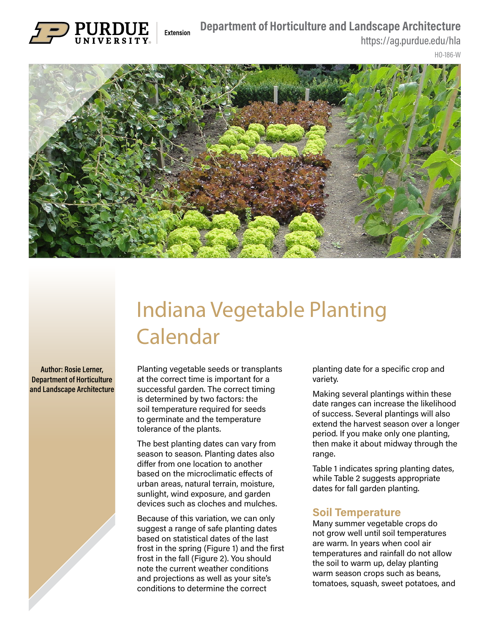## **Department of Horticulture and Landscape Architecture**



https://ag.purdue.edu/hla

HO-186-W



## Indiana Vegetable Planting Calendar

**Author: Rosie Lerner, Department of Horticulture and Landscape Architecture** Planting vegetable seeds or transplants at the correct time is important for a successful garden. The correct timing is determined by two factors: the soil temperature required for seeds to germinate and the temperature tolerance of the plants.

The best planting dates can vary from season to season. Planting dates also differ from one location to another based on the microclimatic effects of urban areas, natural terrain, moisture, sunlight, wind exposure, and garden devices such as cloches and mulches.

Because of this variation, we can only suggest a range of safe planting dates based on statistical dates of the last frost in the spring (Figure 1) and the first frost in the fall (Figure 2). You should note the current weather conditions and projections as well as your site's conditions to determine the correct

planting date for a specific crop and variety.

Making several plantings within these date ranges can increase the likelihood of success. Several plantings will also extend the harvest season over a longer period. If you make only one planting, then make it about midway through the range.

Table 1 indicates spring planting dates, while Table 2 suggests appropriate dates for fall garden planting.

## **Soil Temperature**

Many summer vegetable crops do not grow well until soil temperatures are warm. In years when cool air temperatures and rainfall do not allow the soil to warm up, delay planting warm season crops such as beans, tomatoes, squash, sweet potatoes, and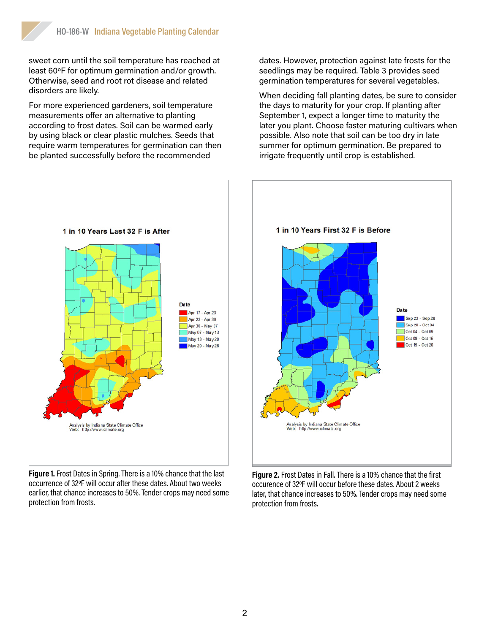sweet corn until the soil temperature has reached at least 60ºF for optimum germination and/or growth. Otherwise, seed and root rot disease and related disorders are likely.

For more experienced gardeners, soil temperature measurements offer an alternative to planting according to frost dates. Soil can be warmed early by using black or clear plastic mulches. Seeds that require warm temperatures for germination can then be planted successfully before the recommended



**Figure 1.** Frost Dates in Spring. There is a 10% chance that the last occurrence of 32ºF will occur after these dates. About two weeks earlier, that chance increases to 50%. Tender crops may need some protection from frosts.

dates. However, protection against late frosts for the seedlings may be required. Table 3 provides seed germination temperatures for several vegetables.

When deciding fall planting dates, be sure to consider the days to maturity for your crop. If planting after September 1, expect a longer time to maturity the later you plant. Choose faster maturing cultivars when possible. Also note that soil can be too dry in late summer for optimum germination. Be prepared to irrigate frequently until crop is established.



**Figure 2.** Frost Dates in Fall. There is a 10% chance that the first occurence of 32ºF will occur before these dates. About 2 weeks later, that chance increases to 50%. Tender crops may need some protection from frosts.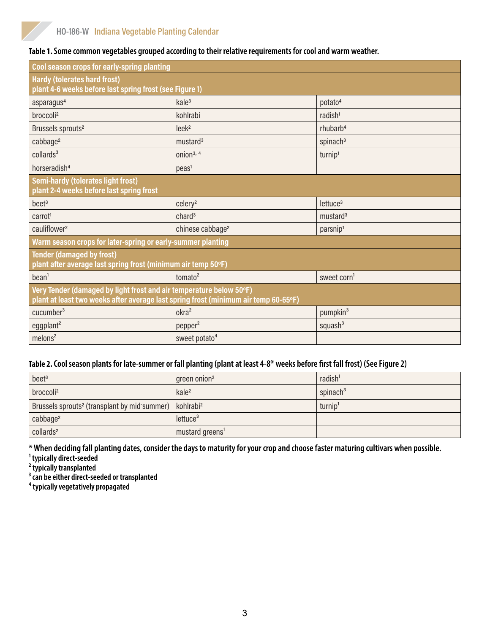|  |  | Table 1. Some common vegetables grouped according to their relative requirements for cool and warm weather. |
|--|--|-------------------------------------------------------------------------------------------------------------|
|  |  |                                                                                                             |

| Cool season crops for early-spring planting                                                                                                                |                              |                         |  |  |
|------------------------------------------------------------------------------------------------------------------------------------------------------------|------------------------------|-------------------------|--|--|
| <b>Hardy (tolerates hard frost)</b><br>plant 4-6 weeks before last spring frost (see Figure 1)                                                             |                              |                         |  |  |
| asparagus <sup>4</sup>                                                                                                                                     | kale <sup>3</sup>            | potato <sup>4</sup>     |  |  |
| broccoli <sup>2</sup>                                                                                                                                      | kohlrabi                     | radish <sup>1</sup>     |  |  |
| Brussels sprouts <sup>2</sup>                                                                                                                              | leek <sup>2</sup>            | rhubarb <sup>4</sup>    |  |  |
| cabbage <sup>2</sup>                                                                                                                                       | mustard <sup>3</sup>         | spinach <sup>3</sup>    |  |  |
| collards <sup>3</sup>                                                                                                                                      | onion <sup>3, 4</sup>        | turnip <sup>1</sup>     |  |  |
| horseradish <sup>4</sup>                                                                                                                                   | peas <sup>1</sup>            |                         |  |  |
| <b>Semi-hardy (tolerates light frost)</b><br>plant 2-4 weeks before last spring frost                                                                      |                              |                         |  |  |
| beet <sup>3</sup>                                                                                                                                          | celery <sup>2</sup>          | lettuce <sup>3</sup>    |  |  |
| carrot <sup>1</sup>                                                                                                                                        | chard <sup>3</sup>           | mustard <sup>3</sup>    |  |  |
| cauliflower <sup>2</sup>                                                                                                                                   | chinese cabbage <sup>2</sup> | parsnip <sup>1</sup>    |  |  |
| Warm season crops for later-spring or early-summer planting                                                                                                |                              |                         |  |  |
| <b>Tender (damaged by frost)</b><br>plant after average last spring frost (minimum air temp 50°F)                                                          |                              |                         |  |  |
| bean <sup>1</sup>                                                                                                                                          | tomato <sup>2</sup>          | sweet corn <sup>1</sup> |  |  |
| Very Tender (damaged by light frost and air temperature below 50°F)<br>plant at least two weeks after average last spring frost (minimum air temp 60-65°F) |                              |                         |  |  |
| cucumber <sup>3</sup>                                                                                                                                      | okra <sup>2</sup>            | pumpkin <sup>3</sup>    |  |  |
| eggplant <sup>2</sup>                                                                                                                                      | pepper <sup>2</sup>          | squash $3$              |  |  |
| melons <sup>2</sup>                                                                                                                                        | sweet potato <sup>4</sup>    |                         |  |  |

## **Table 2. Cool season plants for late-summer or fall planting (plant at least 4-8\* weeks before first fall frost) (See Figure 2)**

| beet <sup>3</sup>                                                                | green onion <sup>2</sup>    | radish <sup>1</sup> |
|----------------------------------------------------------------------------------|-----------------------------|---------------------|
| broccoli <sup>2</sup>                                                            | kale <sup>2</sup>           | spinach $3$         |
| Brussels sprouts <sup>2</sup> (transplant by mid summer)   kohlrabi <sup>2</sup> |                             | turnip <sup>1</sup> |
| cabbage <sup>2</sup>                                                             | lettuce <sup>3</sup>        |                     |
| collards <sup>2</sup>                                                            | mustard greens <sup>1</sup> |                     |

**\* When deciding fall planting dates, consider the days to maturity for your crop and choose faster maturing cultivars when possible.**

**¹ typically direct-seeded**

**² typically transplanted**

**³ can be either direct-seeded or transplanted**

**⁴ typically vegetatively propagated**